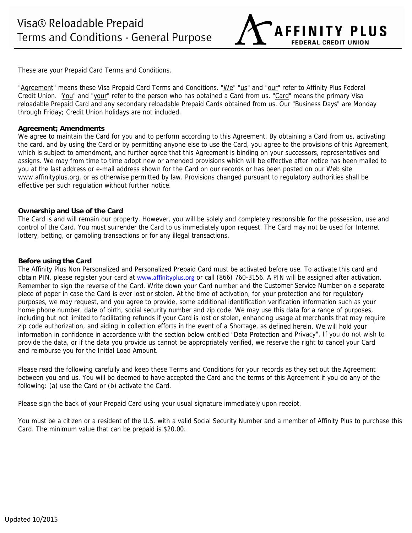**AFFINITY PLUS FEDERAL CREDIT UNION** 

These are your Prepaid Card Terms and Conditions.

"Agreement" means these Visa Prepaid Card Terms and Conditions. "We" "us" and "our" refer to Affinity Plus Federal Credit Union. "You" and "your" refer to the person who has obtained a Card from us. "Card" means the primary Visa reloadable Prepaid Card and any secondary reloadable Prepaid Cards obtained from us. Our "Business Days" are Monday through Friday; Credit Union holidays are not included.

# **Agreement; Amendments**

We agree to maintain the Card for you and to perform according to this Agreement. By obtaining a Card from us, activating the card, and by using the Card or by permitting anyone else to use the Card, you agree to the provisions of this Agreement, which is subject to amendment, and further agree that this Agreement is binding on your successors, representatives and assigns. We may from time to time adopt new or amended provisions which will be effective after notice has been mailed to you at the last address or e-mail address shown for the Card on our records or has been posted on our Web site www.affinityplus.org, or as otherwise permitted by law. Provisions changed pursuant to regulatory authorities shall be effective per such regulation without further notice.

## **Ownership and Use of the Card**

The Card is and will remain our property. However, you will be solely and completely responsible for the possession, use and control of the Card. You must surrender the Card to us immediately upon request. The Card may not be used for Internet lottery, betting, or gambling transactions or for any illegal transactions.

## **Before using the Card**

The Affinity Plus Non Personalized and Personalized Prepaid Card must be activated before use. To activate this card and obtain PIN, please register your card at www.affinityplus.org or call (866) 760-3156. A PIN will be assigned after activation. Remember to sign the reverse of the Card. Write down your Card number and the Customer Service Number on a separate piece of paper in case the Card is ever lost or stolen. At the time of activation, for your protection and for regulatory purposes, we may request, and you agree to provide, some additional identification verification information such as your home phone number, date of birth, social security number and zip code. We may use this data for a range of purposes, including but not limited to facilitating refunds if your Card is lost or stolen, enhancing usage at merchants that may require zip code authorization, and aiding in collection efforts in the event of a Shortage, as defined herein. We will hold your information in confidence in accordance with the section below entitled "Data Protection and Privacy". If you do not wish to provide the data, or if the data you provide us cannot be appropriately verified, we reserve the right to cancel your Card and reimburse you for the Initial Load Amount.

Please read the following carefully and keep these Terms and Conditions for your records as they set out the Agreement between you and us. You will be deemed to have accepted the Card and the terms of this Agreement if you do any of the following: (a) use the Card or (b) activate the Card.

Please sign the back of your Prepaid Card using your usual signature immediately upon receipt.

You must be a citizen or a resident of the U.S. with a valid Social Security Number and a member of Affinity Plus to purchase this Card. The minimum value that can be prepaid is \$20.00.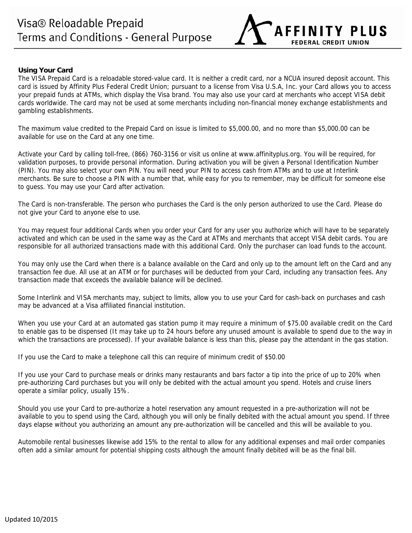

# **Using Your Card**

The VISA Prepaid Card is a reloadable stored-value card. It is neither a credit card, nor a NCUA insured deposit account. This card is issued by Affinity Plus Federal Credit Union; pursuant to a license from Visa U.S.A, Inc. your Card allows you to access your prepaid funds at ATMs, which display the Visa brand. You may also use your card at merchants who accept VISA debit cards worldwide. The card may not be used at some merchants including non-financial money exchange establishments and gambling establishments.

The maximum value credited to the Prepaid Card on issue is limited to \$5,000.00, and no more than \$5,000.00 can be available for use on the Card at any one time.

Activate your Card by calling toll-free, (866) 760-3156 or visit us online at www.affinityplus.org. You will be required, for validation purposes, to provide personal information. During activation you will be given a Personal Identification Number (PIN). You may also select your own PIN. You will need your PIN to access cash from ATMs and to use at Interlink merchants. Be sure to choose a PIN with a number that, while easy for you to remember, may be difficult for someone else to guess. You may use your Card after activation.

The Card is non-transferable. The person who purchases the Card is the only person authorized to use the Card. Please do not give your Card to anyone else to use.

You may request four additional Cards when you order your Card for any user you authorize which will have to be separately activated and which can be used in the same way as the Card at ATMs and merchants that accept VISA debit cards. You are responsible for all authorized transactions made with this additional Card. Only the purchaser can load funds to the account.

You may only use the Card when there is a balance available on the Card and only up to the amount left on the Card and any transaction fee due. All use at an ATM or for purchases will be deducted from your Card, including any transaction fees. Any transaction made that exceeds the available balance will be declined.

Some Interlink and VISA merchants may, subject to limits, allow you to use your Card for cash-back on purchases and cash may be advanced at a Visa affiliated financial institution.

When you use your Card at an automated gas station pump it may require a minimum of \$75.00 available credit on the Card to enable gas to be dispensed (It may take up to 24 hours before any unused amount is available to spend due to the way in which the transactions are processed). If your available balance is less than this, please pay the attendant in the gas station.

If you use the Card to make a telephone call this can require of minimum credit of \$50.00

If you use your Card to purchase meals or drinks many restaurants and bars factor a tip into the price of up to 20% when pre-authorizing Card purchases but you will only be debited with the actual amount you spend. Hotels and cruise liners operate a similar policy, usually 15%.

Should you use your Card to pre-authorize a hotel reservation any amount requested in a pre-authorization will not be available to you to spend using the Card, although you will only be finally debited with the actual amount you spend. If three days elapse without you authorizing an amount any pre-authorization will be cancelled and this will be available to you.

Automobile rental businesses likewise add 15% to the rental to allow for any additional expenses and mail order companies often add a similar amount for potential shipping costs although the amount finally debited will be as the final bill.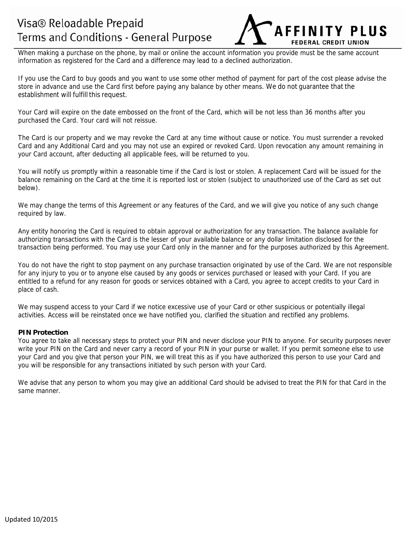# Visa® Reloadable Prepaid Terms and Conditions - General Purpose

**AFFINITY PIIIS FEDERAL CREDIT UNIC** 

When making a purchase on the phone, by mail or online the account information you provide must be the same account information as registered for the Card and a difference may lead to a declined authorization.

If you use the Card to buy goods and you want to use some other method of payment for part of the cost please advise the store in advance and use the Card first before paying any balance by other means. We do not guarantee that the establishment will fulfill this request.

Your Card will expire on the date embossed on the front of the Card, which will be not less than 36 months after you purchased the Card. Your card will not reissue.

The Card is our property and we may revoke the Card at any time without cause or notice. You must surrender a revoked Card and any Additional Card and you may not use an expired or revoked Card. Upon revocation any amount remaining in your Card account, after deducting all applicable fees, will be returned to you.

You will notify us promptly within a reasonable time if the Card is lost or stolen. A replacement Card will be issued for the balance remaining on the Card at the time it is reported lost or stolen (subject to unauthorized use of the Card as set out below).

We may change the terms of this Agreement or any features of the Card, and we will give you notice of any such change required by law.

Any entity honoring the Card is required to obtain approval or authorization for any transaction. The balance available for authorizing transactions with the Card is the lesser of your available balance or any dollar limitation disclosed for the transaction being performed. You may use your Card only in the manner and for the purposes authorized by this Agreement.

You do not have the right to stop payment on any purchase transaction originated by use of the Card. We are not responsible for any injury to you or to anyone else caused by any goods or services purchased or leased with your Card. If you are entitled to a refund for any reason for goods or services obtained with a Card, you agree to accept credits to your Card in place of cash.

We may suspend access to your Card if we notice excessive use of your Card or other suspicious or potentially illegal activities. Access will be reinstated once we have notified you, clarified the situation and rectified any problems.

## **PIN Protection**

You agree to take all necessary steps to protect your PIN and never disclose your PIN to anyone. For security purposes never write your PIN on the Card and never carry a record of your PIN in your purse or wallet. If you permit someone else to use your Card and you give that person your PIN, we will treat this as if you have authorized this person to use your Card and you will be responsible for any transactions initiated by such person with your Card.

We advise that any person to whom you may give an additional Card should be advised to treat the PIN for that Card in the same manner.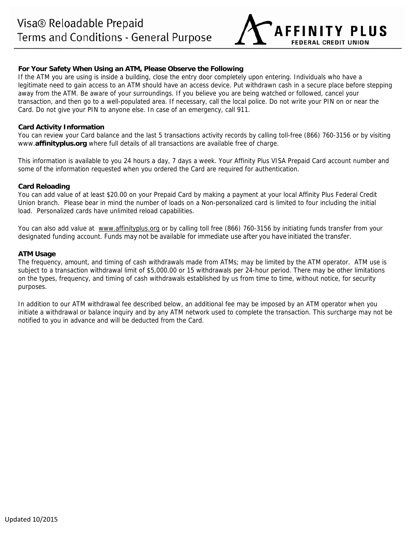

# **For Your Safety When Using an ATM, Please Observe the Following**

If the ATM you are using is inside a building, close the entry door completely upon entering. Individuals who have a legitimate need to gain access to an ATM should have an access device. Put withdrawn cash in a secure place before stepping away from the ATM. Be aware of your surroundings. If you believe you are being watched or followed, cancel your transaction, and then go to a well-populated area. If necessary, call the local police. Do not write your PIN on or near the Card. Do not give your PIN to anyone else. In case of an emergency, call 911.

# **Card Activity Information**

You can review your Card balance and the last 5 transactions activity records by calling toll-free (866) 760-3156 or by visiting www.**affinityplus.org** where full details of all transactions are available free of charge.

This information is available to you 24 hours a day, 7 days a week. Your Affinity Plus VISA Prepaid Card account number and some of the information requested when you ordered the Card are required for authentication.

# **Card Reloading**

You can add value of at least \$20.00 on your Prepaid Card by making a payment at your local Affinity Plus Federal Credit Union branch. Please bear in mind the number of loads on a Non-personalized card is limited to four including the initial load. Personalized cards have unlimited reload capabilities.

You can also add value at www.affinityplus.org or by calling toll free (866) 760-3156 by initiating funds transfer from your designated funding account. Funds may not be available for immediate use after you have initiated the transfer.

# **ATM Usage**

The frequency, amount, and timing of cash withdrawals made from ATMs; may be limited by the ATM operator. ATM use is subject to a transaction withdrawal limit of \$5,000.00 or 15 withdrawals per 24-hour period. There may be other limitations on the types, frequency, and timing of cash withdrawals established by us from time to time, without notice, for security purposes.

In addition to our ATM withdrawal fee described below, an additional fee may be imposed by an ATM operator when you initiate a withdrawal or balance inquiry and by any ATM network used to complete the transaction. This surcharge may not be notified to you in advance and will be deducted from the Card.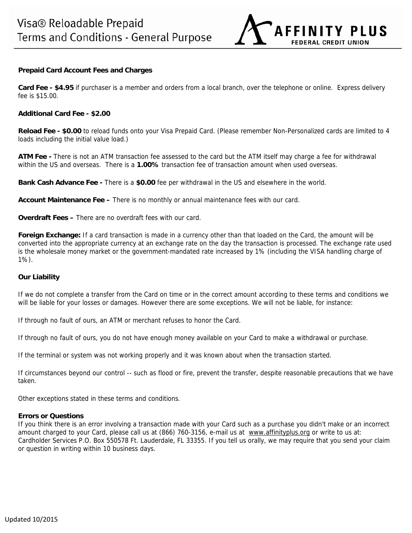

## **Prepaid Card Account Fees and Charges**

**Card Fee - \$4.95** if purchaser is a member and orders from a local branch, over the telephone or online. Express delivery fee is \$15.00.

#### **Additional Card Fee - \$2.00**

**Reload Fee - \$0.00** to reload funds onto your Visa Prepaid Card. (Please remember Non-Personalized cards are limited to 4 loads including the initial value load.)

**ATM Fee -** There is not an ATM transaction fee assessed to the card but the ATM itself may charge a fee for withdrawal within the US and overseas. There is a **1.00%** transaction fee of transaction amount when used overseas.

**Bank Cash Advance Fee -** There is a **\$0.00** fee per withdrawal in the US and elsewhere in the world.

**Account Maintenance Fee –** There is no monthly or annual maintenance fees with our card.

**Overdraft Fees –** There are no overdraft fees with our card.

**Foreign Exchange:** If a card transaction is made in a currency other than that loaded on the Card, the amount will be converted into the appropriate currency at an exchange rate on the day the transaction is processed. The exchange rate used is the wholesale money market or the government-mandated rate increased by 1% (including the VISA handling charge of 1%).

## **Our Liability**

If we do not complete a transfer from the Card on time or in the correct amount according to these terms and conditions we will be liable for your losses or damages. However there are some exceptions. We will not be liable, for instance:

If through no fault of ours, an ATM or merchant refuses to honor the Card.

If through no fault of ours, you do not have enough money available on your Card to make a withdrawal or purchase.

If the terminal or system was not working properly and it was known about when the transaction started.

If circumstances beyond our control -- such as flood or fire, prevent the transfer, despite reasonable precautions that we have taken.

Other exceptions stated in these terms and conditions.

#### **Errors or Questions**

If you think there is an error involving a transaction made with your Card such as a purchase you didn't make or an incorrect amount charged to your Card, please call us at (866) 760-3156, e-mail us at www.affinityplus.org or write to us at: Cardholder Services P.O. Box 550578 Ft. Lauderdale, FL 33355. If you tell us orally, we may require that you send your claim or question in writing within 10 business days.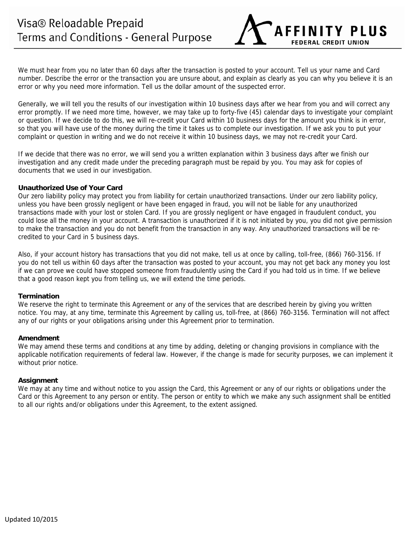We must hear from you no later than 60 days after the transaction is posted to your account. Tell us your name and Card number. Describe the error or the transaction you are unsure about, and explain as clearly as you can why you believe it is an error or why you need more information. Tell us the dollar amount of the suspected error.

**AFFINITY PLUS** 

**FEDERAL CREDIT UNION** 

Generally, we will tell you the results of our investigation within 10 business days after we hear from you and will correct any error promptly. If we need more time, however, we may take up to forty-five (45) calendar days to investigate your complaint or question. If we decide to do this, we will re-credit your Card within 10 business days for the amount you think is in error, so that you will have use of the money during the time it takes us to complete our investigation. If we ask you to put your complaint or question in writing and we do not receive it within 10 business days, we may not re-credit your Card.

If we decide that there was no error, we will send you a written explanation within 3 business days after we finish our investigation and any credit made under the preceding paragraph must be repaid by you. You may ask for copies of documents that we used in our investigation.

# **Unauthorized Use of Your Card**

Our zero liability policy may protect you from liability for certain unauthorized transactions. Under our zero liability policy, unless you have been grossly negligent or have been engaged in fraud, you will not be liable for any unauthorized transactions made with your lost or stolen Card. If you are grossly negligent or have engaged in fraudulent conduct, you could lose all the money in your account. A transaction is unauthorized if it is not initiated by you, you did not give permission to make the transaction and you do not benefit from the transaction in any way. Any unauthorized transactions will be recredited to your Card in 5 business days.

Also, if your account history has transactions that you did not make, tell us at once by calling, toll-free, (866) 760-3156. If you do not tell us within 60 days after the transaction was posted to your account, you may not get back any money you lost if we can prove we could have stopped someone from fraudulently using the Card if you had told us in time. If we believe that a good reason kept you from telling us, we will extend the time periods.

## **Termination**

We reserve the right to terminate this Agreement or any of the services that are described herein by giving you written notice. You may, at any time, terminate this Agreement by calling us, toll-free, at (866) 760-3156. Termination will not affect any of our rights or your obligations arising under this Agreement prior to termination.

## **Amendment**

We may amend these terms and conditions at any time by adding, deleting or changing provisions in compliance with the applicable notification requirements of federal law. However, if the change is made for security purposes, we can implement it without prior notice.

## **Assignment**

We may at any time and without notice to you assign the Card, this Agreement or any of our rights or obligations under the Card or this Agreement to any person or entity. The person or entity to which we make any such assignment shall be entitled to all our rights and/or obligations under this Agreement, to the extent assigned.